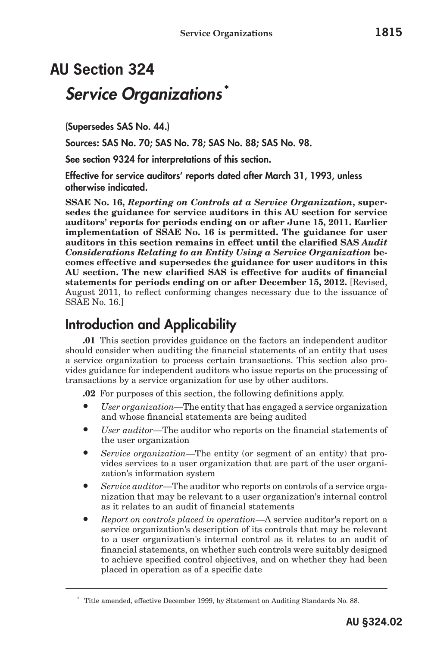# **AU Section 324** *Service Organizations* **\***

(Supersedes SAS No. 44.)

Sources: SAS No. 70; SAS No. 78; SAS No. 88; SAS No. 98.

See section 9324 for interpretations of this section.

Effective for service auditors' reports dated after March 31, 1993, unless otherwise indicated.

**SSAE No. 16,** *Reporting on Controls at a Service Organization***, supersedes the guidance for service auditors in this AU section for service auditors' reports for periods ending on or after June 15, 2011. Earlier implementation of SSAE No. 16 is permitted. The guidance for user auditors in this section remains in effect until the clarified SAS** *Audit Considerations Relating to an Entity Using a Service Organization* **becomes effective and supersedes the guidance for user auditors in this AU section. The new clarified SAS is effective for audits of financial statements for periods ending on or after December 15, 2012.** [Revised, August 2011, to reflect conforming changes necessary due to the issuance of SSAE No. 16.]

## Introduction and Applicability

**.01** This section provides guidance on the factors an independent auditor should consider when auditing the financial statements of an entity that uses a service organization to process certain transactions. This section also provides guidance for independent auditors who issue reports on the processing of transactions by a service organization for use by other auditors.

**.02** For purposes of this section, the following definitions apply.

- *User organization*—The entity that has engaged a service organization and whose financial statements are being audited
- *User auditor*—The auditor who reports on the financial statements of the user organization
- *Service organization*—The entity (or segment of an entity) that provides services to a user organization that are part of the user organization's information system
- *Service auditor*—The auditor who reports on controls of a service organization that may be relevant to a user organization's internal control as it relates to an audit of financial statements
- *Report on controls placed in operation*—A service auditor's report on a service organization's description of its controls that may be relevant to a user organization's internal control as it relates to an audit of financial statements, on whether such controls were suitably designed to achieve specified control objectives, and on whether they had been placed in operation as of a specific date

<sup>\*</sup> Title amended, effective December 1999, by Statement on Auditing Standards No. 88.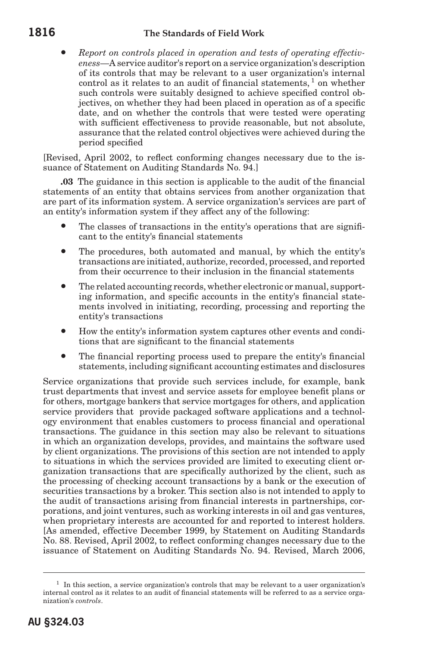#### **1816 The Standards of Field Work**

• *Report on controls placed in operation and tests of operating effectiveness*—A service auditor's report on a service organization's description of its controls that may be relevant to a user organization's internal control as it relates to an audit of financial statements,  $1$  on whether such controls were suitably designed to achieve specified control objectives, on whether they had been placed in operation as of a specific date, and on whether the controls that were tested were operating with sufficient effectiveness to provide reasonable, but not absolute, assurance that the related control objectives were achieved during the period specified

[Revised, April 2002, to reflect conforming changes necessary due to the issuance of Statement on Auditing Standards No. 94.]

**.03** The guidance in this section is applicable to the audit of the financial statements of an entity that obtains services from another organization that are part of its information system. A service organization's services are part of an entity's information system if they affect any of the following:

- The classes of transactions in the entity's operations that are significant to the entity's financial statements
- The procedures, both automated and manual, by which the entity's transactions are initiated, authorize, recorded, processed, and reported from their occurrence to their inclusion in the financial statements
- The related accounting records, whether electronic or manual, supporting information, and specific accounts in the entity's financial statements involved in initiating, recording, processing and reporting the entity's transactions
- How the entity's information system captures other events and conditions that are significant to the financial statements
- The financial reporting process used to prepare the entity's financial statements, including significant accounting estimates and disclosures

Service organizations that provide such services include, for example, bank trust departments that invest and service assets for employee benefit plans or for others, mortgage bankers that service mortgages for others, and application service providers that provide packaged software applications and a technology environment that enables customers to process financial and operational transactions. The guidance in this section may also be relevant to situations in which an organization develops, provides, and maintains the software used by client organizations. The provisions of this section are not intended to apply to situations in which the services provided are limited to executing client organization transactions that are specifically authorized by the client, such as the processing of checking account transactions by a bank or the execution of securities transactions by a broker. This section also is not intended to apply to the audit of transactions arising from financial interests in partnerships, corporations, and joint ventures, such as working interests in oil and gas ventures, when proprietary interests are accounted for and reported to interest holders. [As amended, effective December 1999, by Statement on Auditing Standards No. 88. Revised, April 2002, to reflect conforming changes necessary due to the issuance of Statement on Auditing Standards No. 94. Revised, March 2006,

 $<sup>1</sup>$  In this section, a service organization's controls that may be relevant to a user organization's</sup> internal control as it relates to an audit of financial statements will be referred to as a service organization's *controls*.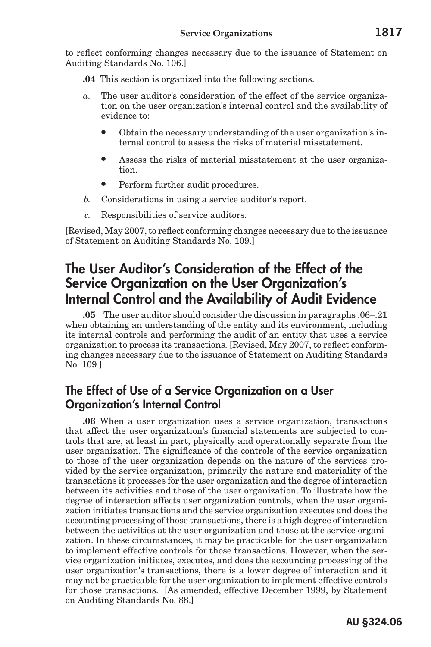to reflect conforming changes necessary due to the issuance of Statement on Auditing Standards No. 106.]

- **.04** This section is organized into the following sections.
- *a.* The user auditor's consideration of the effect of the service organization on the user organization's internal control and the availability of evidence to:
	- Obtain the necessary understanding of the user organization's internal control to assess the risks of material misstatement.
	- Assess the risks of material misstatement at the user organization.
	- Perform further audit procedures.
- *b.* Considerations in using a service auditor's report.
- *c.* Responsibilities of service auditors.

[Revised, May 2007, to reflect conforming changes necessary due to the issuance of Statement on Auditing Standards No. 109.]

## The User Auditor's Consideration of the Effect of the Service Organization on the User Organization's Internal Control and the Availability of Audit Evidence

**.05** The user auditor should consider the discussion in paragraphs .06–.21 when obtaining an understanding of the entity and its environment, including its internal controls and performing the audit of an entity that uses a service organization to process its transactions. [Revised, May 2007, to reflect conforming changes necessary due to the issuance of Statement on Auditing Standards No. 109.]

## The Effect of Use of a Service Organization on a User Organization's Internal Control

**.06** When a user organization uses a service organization, transactions that affect the user organization's financial statements are subjected to controls that are, at least in part, physically and operationally separate from the user organization. The significance of the controls of the service organization to those of the user organization depends on the nature of the services provided by the service organization, primarily the nature and materiality of the transactions it processes for the user organization and the degree of interaction between its activities and those of the user organization. To illustrate how the degree of interaction affects user organization controls, when the user organization initiates transactions and the service organization executes and does the accounting processing of those transactions, there is a high degree of interaction between the activities at the user organization and those at the service organization. In these circumstances, it may be practicable for the user organization to implement effective controls for those transactions. However, when the service organization initiates, executes, and does the accounting processing of the user organization's transactions, there is a lower degree of interaction and it may not be practicable for the user organization to implement effective controls for those transactions. [As amended, effective December 1999, by Statement on Auditing Standards No. 88.]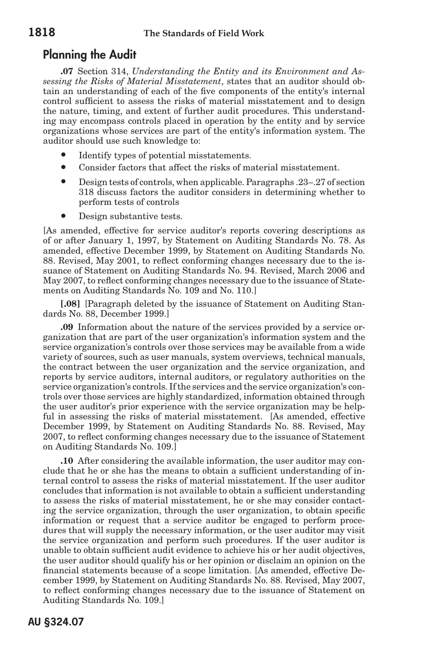## Planning the Audit

**.07** Section 314, *Understanding the Entity and its Environment and Assessing the Risks of Material Misstatement*, states that an auditor should obtain an understanding of each of the five components of the entity's internal control sufficient to assess the risks of material misstatement and to design the nature, timing, and extent of further audit procedures. This understanding may encompass controls placed in operation by the entity and by service organizations whose services are part of the entity's information system. The auditor should use such knowledge to:

- Identify types of potential misstatements.
- Consider factors that affect the risks of material misstatement.
- Design tests of controls, when applicable. Paragraphs .23–.27 of section 318 discuss factors the auditor considers in determining whether to perform tests of controls
- Design substantive tests.

[As amended, effective for service auditor's reports covering descriptions as of or after January 1, 1997, by Statement on Auditing Standards No. 78. As amended, effective December 1999, by Statement on Auditing Standards No. 88. Revised, May 2001, to reflect conforming changes necessary due to the issuance of Statement on Auditing Standards No. 94. Revised, March 2006 and May 2007, to reflect conforming changes necessary due to the issuance of Statements on Auditing Standards No. 109 and No. 110.]

**[.08]** [Paragraph deleted by the issuance of Statement on Auditing Standards No. 88, December 1999.]

**.09** Information about the nature of the services provided by a service organization that are part of the user organization's information system and the service organization's controls over those services may be available from a wide variety of sources, such as user manuals, system overviews, technical manuals, the contract between the user organization and the service organization, and reports by service auditors, internal auditors, or regulatory authorities on the service organization's controls. If the services and the service organization's controls over those services are highly standardized, information obtained through the user auditor's prior experience with the service organization may be helpful in assessing the risks of material misstatement. [As amended, effective December 1999, by Statement on Auditing Standards No. 88. Revised, May 2007, to reflect conforming changes necessary due to the issuance of Statement on Auditing Standards No. 109.]

**.10** After considering the available information, the user auditor may conclude that he or she has the means to obtain a sufficient understanding of internal control to assess the risks of material misstatement. If the user auditor concludes that information is not available to obtain a sufficient understanding to assess the risks of material misstatement, he or she may consider contacting the service organization, through the user organization, to obtain specific information or request that a service auditor be engaged to perform procedures that will supply the necessary information, or the user auditor may visit the service organization and perform such procedures. If the user auditor is unable to obtain sufficient audit evidence to achieve his or her audit objectives, the user auditor should qualify his or her opinion or disclaim an opinion on the financial statements because of a scope limitation. [As amended, effective December 1999, by Statement on Auditing Standards No. 88. Revised, May 2007, to reflect conforming changes necessary due to the issuance of Statement on Auditing Standards No. 109.]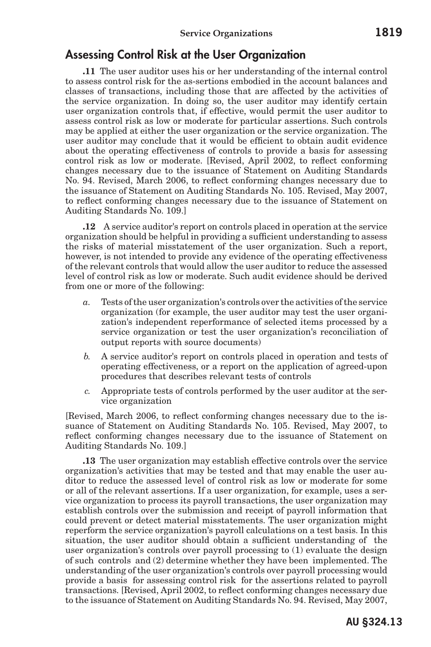### Assessing Control Risk at the User Organization

**.11** The user auditor uses his or her understanding of the internal control to assess control risk for the as-sertions embodied in the account balances and classes of transactions, including those that are affected by the activities of the service organization. In doing so, the user auditor may identify certain user organization controls that, if effective, would permit the user auditor to assess control risk as low or moderate for particular assertions. Such controls may be applied at either the user organization or the service organization. The user auditor may conclude that it would be efficient to obtain audit evidence about the operating effectiveness of controls to provide a basis for assessing control risk as low or moderate. [Revised, April 2002, to reflect conforming changes necessary due to the issuance of Statement on Auditing Standards No. 94. Revised, March 2006, to reflect conforming changes necessary due to the issuance of Statement on Auditing Standards No. 105. Revised, May 2007, to reflect conforming changes necessary due to the issuance of Statement on Auditing Standards No. 109.]

**.12** A service auditor's report on controls placed in operation at the service organization should be helpful in providing a sufficient understanding to assess the risks of material misstatement of the user organization. Such a report, however, is not intended to provide any evidence of the operating effectiveness of the relevant controls that would allow the user auditor to reduce the assessed level of control risk as low or moderate. Such audit evidence should be derived from one or more of the following:

- *a.* Tests of the user organization's controls over the activities of the service organization (for example, the user auditor may test the user organization's independent reperformance of selected items processed by a service organization or test the user organization's reconciliation of output reports with source documents)
- *b.* A service auditor's report on controls placed in operation and tests of operating effectiveness, or a report on the application of agreed-upon procedures that describes relevant tests of controls
- *c.* Appropriate tests of controls performed by the user auditor at the service organization

[Revised, March 2006, to reflect conforming changes necessary due to the issuance of Statement on Auditing Standards No. 105. Revised, May 2007, to reflect conforming changes necessary due to the issuance of Statement on Auditing Standards No. 109.]

**.13** The user organization may establish effective controls over the service organization's activities that may be tested and that may enable the user auditor to reduce the assessed level of control risk as low or moderate for some or all of the relevant assertions. If a user organization, for example, uses a service organization to process its payroll transactions, the user organization may establish controls over the submission and receipt of payroll information that could prevent or detect material misstatements. The user organization might reperform the service organization's payroll calculations on a test basis. In this situation, the user auditor should obtain a sufficient understanding of the user organization's controls over payroll processing to (1) evaluate the design of such controls and (2) determine whether they have been implemented. The understanding of the user organization's controls over payroll processing would provide a basis for assessing control risk for the assertions related to payroll transactions. [Revised, April 2002, to reflect conforming changes necessary due to the issuance of Statement on Auditing Standards No. 94. Revised, May 2007,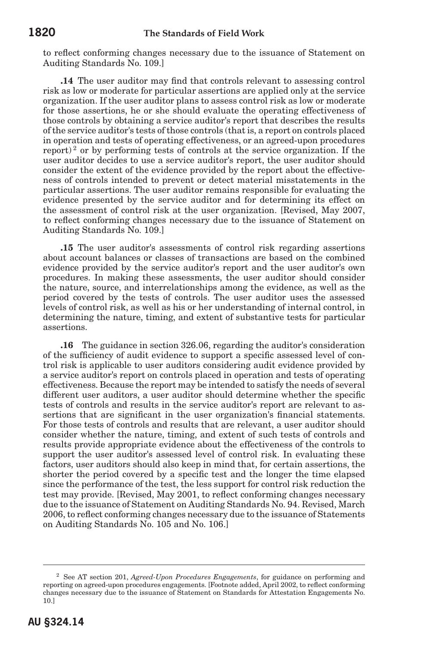to reflect conforming changes necessary due to the issuance of Statement on Auditing Standards No. 109.]

**.14** The user auditor may find that controls relevant to assessing control risk as low or moderate for particular assertions are applied only at the service organization. If the user auditor plans to assess control risk as low or moderate for those assertions, he or she should evaluate the operating effectiveness of those controls by obtaining a service auditor's report that describes the results of the service auditor's tests of those controls (that is, a report on controls placed in operation and tests of operating effectiveness, or an agreed-upon procedures report)<sup>2</sup> or by performing tests of controls at the service organization. If the user auditor decides to use a service auditor's report, the user auditor should consider the extent of the evidence provided by the report about the effectiveness of controls intended to prevent or detect material misstatements in the particular assertions. The user auditor remains responsible for evaluating the evidence presented by the service auditor and for determining its effect on the assessment of control risk at the user organization. [Revised, May 2007, to reflect conforming changes necessary due to the issuance of Statement on Auditing Standards No. 109.]

**.15** The user auditor's assessments of control risk regarding assertions about account balances or classes of transactions are based on the combined evidence provided by the service auditor's report and the user auditor's own procedures. In making these assessments, the user auditor should consider the nature, source, and interrelationships among the evidence, as well as the period covered by the tests of controls. The user auditor uses the assessed levels of control risk, as well as his or her understanding of internal control, in determining the nature, timing, and extent of substantive tests for particular assertions.

**.16** The guidance in section 326.06, regarding the auditor's consideration of the sufficiency of audit evidence to support a specific assessed level of control risk is applicable to user auditors considering audit evidence provided by a service auditor's report on controls placed in operation and tests of operating effectiveness. Because the report may be intended to satisfy the needs of several different user auditors, a user auditor should determine whether the specific tests of controls and results in the service auditor's report are relevant to assertions that are significant in the user organization's financial statements. For those tests of controls and results that are relevant, a user auditor should consider whether the nature, timing, and extent of such tests of controls and results provide appropriate evidence about the effectiveness of the controls to support the user auditor's assessed level of control risk. In evaluating these factors, user auditors should also keep in mind that, for certain assertions, the shorter the period covered by a specific test and the longer the time elapsed since the performance of the test, the less support for control risk reduction the test may provide. [Revised, May 2001, to reflect conforming changes necessary due to the issuance of Statement on Auditing Standards No. 94. Revised, March 2006, to reflect conforming changes necessary due to the issuance of Statements on Auditing Standards No. 105 and No. 106.]

<sup>2</sup> See AT section 201, *Agreed-Upon Procedures Engagements*, for guidance on performing and reporting on agreed-upon procedures engagements. [Footnote added, April 2002, to reflect conforming changes necessary due to the issuance of Statement on Standards for Attestation Engagements No. 10.]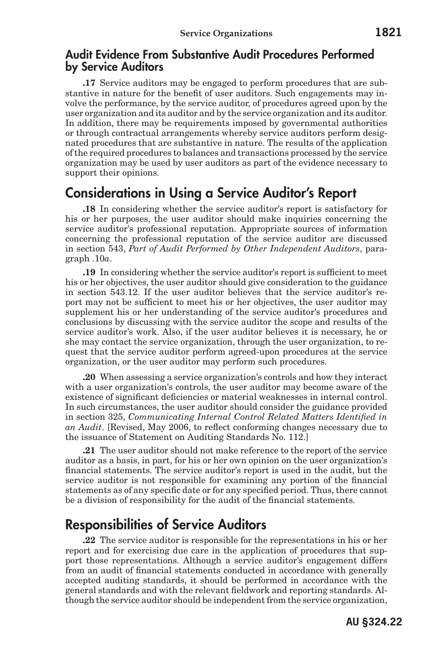#### Audit Evidence From Substantive Audit Procedures Performed by Service Auditors

**.17** Service auditors may be engaged to perform procedures that are substantive in nature for the benefit of user auditors. Such engagements may involve the performance, by the service auditor, of procedures agreed upon by the user organization and its auditor and by the service organization and its auditor. In addition, there may be requirements imposed by governmental authorities or through contractual arrangements whereby service auditors perform designated procedures that are substantive in nature. The results of the application of the required procedures to balances and transactions processed by the service organization may be used by user auditors as part of the evidence necessary to support their opinions.

## Considerations in Using a Service Auditor's Report

**.18** In considering whether the service auditor's report is satisfactory for his or her purposes, the user auditor should make inquiries concerning the service auditor's professional reputation. Appropriate sources of information concerning the professional reputation of the service auditor are discussed in section 543, *Part of Audit Performed by Other Independent Auditors*, paragraph .10*a*.

**.19** In considering whether the service auditor's report is sufficient to meet his or her objectives, the user auditor should give consideration to the guidance in section 543.12. If the user auditor believes that the service auditor's report may not be sufficient to meet his or her objectives, the user auditor may supplement his or her understanding of the service auditor's procedures and conclusions by discussing with the service auditor the scope and results of the service auditor's work. Also, if the user auditor believes it is necessary, he or she may contact the service organization, through the user organization, to request that the service auditor perform agreed-upon procedures at the service organization, or the user auditor may perform such procedures.

**.20** When assessing a service organization's controls and how they interact with a user organization's controls, the user auditor may become aware of the existence of significant deficiencies or material weaknesses in internal control. In such circumstances, the user auditor should consider the guidance provided in section 325, *Communicating Internal Control Related Matters Identified in an Audit*. [Revised, May 2006, to reflect conforming changes necessary due to the issuance of Statement on Auditing Standards No. 112.]

**.21** The user auditor should not make reference to the report of the service auditor as a basis, in part, for his or her own opinion on the user organization's financial statements. The service auditor's report is used in the audit, but the service auditor is not responsible for examining any portion of the financial statements as of any specific date or for any specified period. Thus, there cannot be a division of responsibility for the audit of the financial statements.

## Responsibilities of Service Auditors

**.22** The service auditor is responsible for the representations in his or her report and for exercising due care in the application of procedures that support those representations. Although a service auditor's engagement differs from an audit of financial statements conducted in accordance with generally accepted auditing standards, it should be performed in accordance with the general standards and with the relevant fieldwork and reporting standards. Although the service auditor should be independent from the service organization,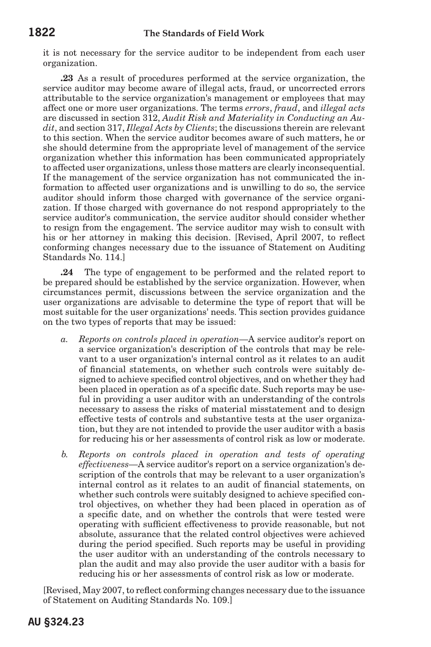it is not necessary for the service auditor to be independent from each user organization.

**.23** As a result of procedures performed at the service organization, the service auditor may become aware of illegal acts, fraud, or uncorrected errors attributable to the service organization's management or employees that may affect one or more user organizations. The terms *errors*, *fraud*, and *illegal acts* are discussed in section 312, *Audit Risk and Materiality in Conducting an Audit*, and section 317, *Illegal Acts by Clients*; the discussions therein are relevant to this section. When the service auditor becomes aware of such matters, he or she should determine from the appropriate level of management of the service organization whether this information has been communicated appropriately to affected user organizations, unless those matters are clearly inconsequential. If the management of the service organization has not communicated the information to affected user organizations and is unwilling to do so, the service auditor should inform those charged with governance of the service organization. If those charged with governance do not respond appropriately to the service auditor's communication, the service auditor should consider whether to resign from the engagement. The service auditor may wish to consult with his or her attorney in making this decision. [Revised, April 2007, to reflect conforming changes necessary due to the issuance of Statement on Auditing Standards No. 114.]

**.24** The type of engagement to be performed and the related report to be prepared should be established by the service organization. However, when circumstances permit, discussions between the service organization and the user organizations are advisable to determine the type of report that will be most suitable for the user organizations' needs. This section provides guidance on the two types of reports that may be issued:

- *a. Reports on controls placed in operation*—A service auditor's report on a service organization's description of the controls that may be relevant to a user organization's internal control as it relates to an audit of financial statements, on whether such controls were suitably designed to achieve specified control objectives, and on whether they had been placed in operation as of a specific date. Such reports may be useful in providing a user auditor with an understanding of the controls necessary to assess the risks of material misstatement and to design effective tests of controls and substantive tests at the user organization, but they are not intended to provide the user auditor with a basis for reducing his or her assessments of control risk as low or moderate.
- *b. Reports on controls placed in operation and tests of operating effectiveness*—A service auditor's report on a service organization's description of the controls that may be relevant to a user organization's internal control as it relates to an audit of financial statements, on whether such controls were suitably designed to achieve specified control objectives, on whether they had been placed in operation as of a specific date, and on whether the controls that were tested were operating with sufficient effectiveness to provide reasonable, but not absolute, assurance that the related control objectives were achieved during the period specified. Such reports may be useful in providing the user auditor with an understanding of the controls necessary to plan the audit and may also provide the user auditor with a basis for reducing his or her assessments of control risk as low or moderate.

[Revised, May 2007, to reflect conforming changes necessary due to the issuance of Statement on Auditing Standards No. 109.]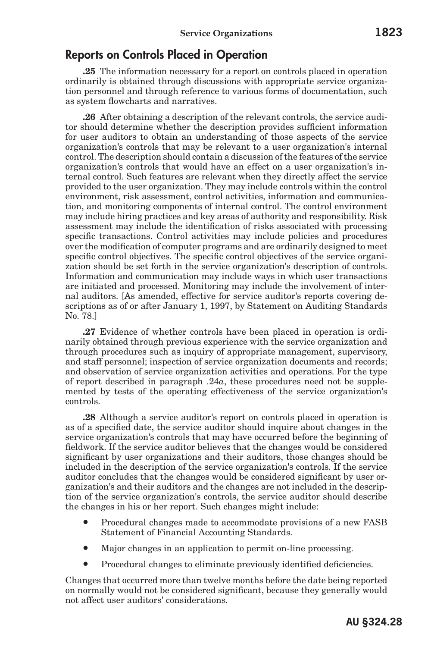## Reports on Controls Placed in Operation

**.25** The information necessary for a report on controls placed in operation ordinarily is obtained through discussions with appropriate service organization personnel and through reference to various forms of documentation, such as system flowcharts and narratives.

**.26** After obtaining a description of the relevant controls, the service auditor should determine whether the description provides sufficient information for user auditors to obtain an understanding of those aspects of the service organization's controls that may be relevant to a user organization's internal control. The description should contain a discussion of the features of the service organization's controls that would have an effect on a user organization's internal control. Such features are relevant when they directly affect the service provided to the user organization. They may include controls within the control environment, risk assessment, control activities, information and communication, and monitoring components of internal control. The control environment may include hiring practices and key areas of authority and responsibility. Risk assessment may include the identification of risks associated with processing specific transactions. Control activities may include policies and procedures over the modification of computer programs and are ordinarily designed to meet specific control objectives. The specific control objectives of the service organization should be set forth in the service organization's description of controls. Information and communication may include ways in which user transactions are initiated and processed. Monitoring may include the involvement of internal auditors. [As amended, effective for service auditor's reports covering descriptions as of or after January 1, 1997, by Statement on Auditing Standards No. 78.]

**.27** Evidence of whether controls have been placed in operation is ordinarily obtained through previous experience with the service organization and through procedures such as inquiry of appropriate management, supervisory, and staff personnel; inspection of service organization documents and records; and observation of service organization activities and operations. For the type of report described in paragraph .24*a*, these procedures need not be supplemented by tests of the operating effectiveness of the service organization's controls.

**.28** Although a service auditor's report on controls placed in operation is as of a specified date, the service auditor should inquire about changes in the service organization's controls that may have occurred before the beginning of fieldwork. If the service auditor believes that the changes would be considered significant by user organizations and their auditors, those changes should be included in the description of the service organization's controls. If the service auditor concludes that the changes would be considered significant by user organization's and their auditors and the changes are not included in the description of the service organization's controls, the service auditor should describe the changes in his or her report. Such changes might include:

- Procedural changes made to accommodate provisions of a new FASB Statement of Financial Accounting Standards.
- Major changes in an application to permit on-line processing.
- Procedural changes to eliminate previously identified deficiencies.

Changes that occurred more than twelve months before the date being reported on normally would not be considered significant, because they generally would not affect user auditors' considerations.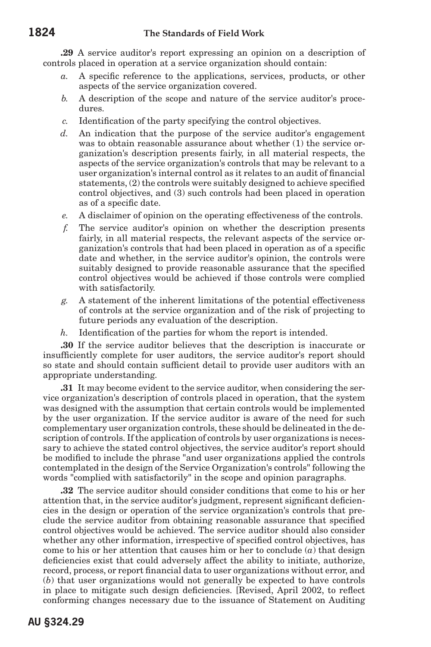**.29** A service auditor's report expressing an opinion on a description of controls placed in operation at a service organization should contain:

- *a.* A specific reference to the applications, services, products, or other aspects of the service organization covered.
- *b.* A description of the scope and nature of the service auditor's procedures.
- *c.* Identification of the party specifying the control objectives.
- *d.* An indication that the purpose of the service auditor's engagement was to obtain reasonable assurance about whether (1) the service organization's description presents fairly, in all material respects, the aspects of the service organization's controls that may be relevant to a user organization's internal control as it relates to an audit of financial statements, (2) the controls were suitably designed to achieve specified control objectives, and (3) such controls had been placed in operation as of a specific date.
- *e.* A disclaimer of opinion on the operating effectiveness of the controls.
- *f.* The service auditor's opinion on whether the description presents fairly, in all material respects, the relevant aspects of the service organization's controls that had been placed in operation as of a specific date and whether, in the service auditor's opinion, the controls were suitably designed to provide reasonable assurance that the specified control objectives would be achieved if those controls were complied with satisfactorily.
- *g.* A statement of the inherent limitations of the potential effectiveness of controls at the service organization and of the risk of projecting to future periods any evaluation of the description.
- *h.* Identification of the parties for whom the report is intended.

**.30** If the service auditor believes that the description is inaccurate or insufficiently complete for user auditors, the service auditor's report should so state and should contain sufficient detail to provide user auditors with an appropriate understanding.

**.31** It may become evident to the service auditor, when considering the service organization's description of controls placed in operation, that the system was designed with the assumption that certain controls would be implemented by the user organization. If the service auditor is aware of the need for such complementary user organization controls, these should be delineated in the description of controls. If the application of controls by user organizations is necessary to achieve the stated control objectives, the service auditor's report should be modified to include the phrase "and user organizations applied the controls contemplated in the design of the Service Organization's controls" following the words "complied with satisfactorily" in the scope and opinion paragraphs.

**.32** The service auditor should consider conditions that come to his or her attention that, in the service auditor's judgment, represent significant deficiencies in the design or operation of the service organization's controls that preclude the service auditor from obtaining reasonable assurance that specified control objectives would be achieved. The service auditor should also consider whether any other information, irrespective of specified control objectives, has come to his or her attention that causes him or her to conclude (*a*) that design deficiencies exist that could adversely affect the ability to initiate, authorize, record, process, or report financial data to user organizations without error, and (*b*) that user organizations would not generally be expected to have controls in place to mitigate such design deficiencies. [Revised, April 2002, to reflect conforming changes necessary due to the issuance of Statement on Auditing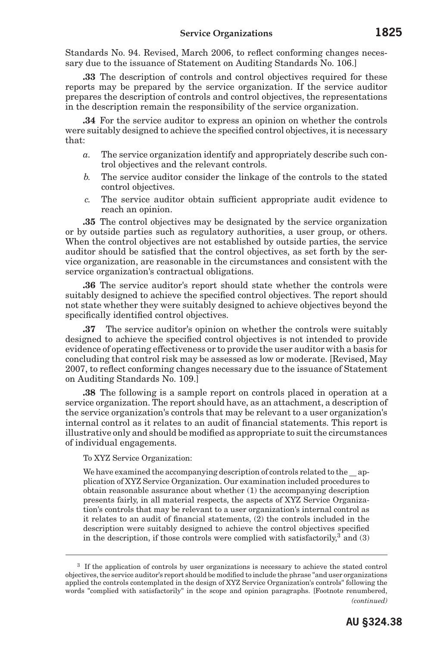Standards No. 94. Revised, March 2006, to reflect conforming changes necessary due to the issuance of Statement on Auditing Standards No. 106.]

**.33** The description of controls and control objectives required for these reports may be prepared by the service organization. If the service auditor prepares the description of controls and control objectives, the representations in the description remain the responsibility of the service organization.

**.34** For the service auditor to express an opinion on whether the controls were suitably designed to achieve the specified control objectives, it is necessary that:

- *a.* The service organization identify and appropriately describe such control objectives and the relevant controls.
- *b.* The service auditor consider the linkage of the controls to the stated control objectives.
- *c.* The service auditor obtain sufficient appropriate audit evidence to reach an opinion.

**.35** The control objectives may be designated by the service organization or by outside parties such as regulatory authorities, a user group, or others. When the control objectives are not established by outside parties, the service auditor should be satisfied that the control objectives, as set forth by the service organization, are reasonable in the circumstances and consistent with the service organization's contractual obligations.

**.36** The service auditor's report should state whether the controls were suitably designed to achieve the specified control objectives. The report should not state whether they were suitably designed to achieve objectives beyond the specifically identified control objectives.

**.37** The service auditor's opinion on whether the controls were suitably designed to achieve the specified control objectives is not intended to provide evidence of operating effectiveness or to provide the user auditor with a basis for concluding that control risk may be assessed as low or moderate. [Revised, May 2007, to reflect conforming changes necessary due to the issuance of Statement on Auditing Standards No. 109.]

**.38** The following is a sample report on controls placed in operation at a service organization. The report should have, as an attachment, a description of the service organization's controls that may be relevant to a user organization's internal control as it relates to an audit of financial statements. This report is illustrative only and should be modified as appropriate to suit the circumstances of individual engagements.

To XYZ Service Organization:

We have examined the accompanying description of controls related to the application of XYZ Service Organization. Our examination included procedures to obtain reasonable assurance about whether (1) the accompanying description presents fairly, in all material respects, the aspects of XYZ Service Organization's controls that may be relevant to a user organization's internal control as it relates to an audit of financial statements, (2) the controls included in the description were suitably designed to achieve the control objectives specified in the description, if those controls were complied with satisfactorily,  $3^{\circ}$  and (3)

<sup>&</sup>lt;sup>3</sup> If the application of controls by user organizations is necessary to achieve the stated control objectives, the service auditor's report should be modified to include the phrase "and user organizations applied the controls contemplated in the design of XYZ Service Organization's controls" following the words "complied with satisfactorily" in the scope and opinion paragraphs. [Footnote renumbered, *(continued)*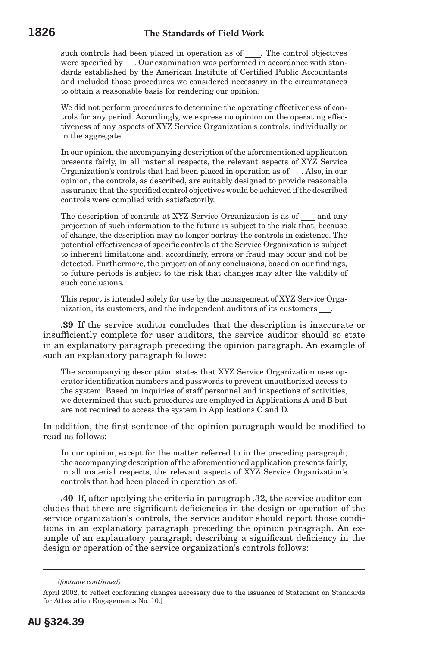such controls had been placed in operation as of . The control objectives were specified by \_\_. Our examination was performed in accordance with standards established by the American Institute of Certified Public Accountants and included those procedures we considered necessary in the circumstances to obtain a reasonable basis for rendering our opinion.

We did not perform procedures to determine the operating effectiveness of controls for any period. Accordingly, we express no opinion on the operating effectiveness of any aspects of XYZ Service Organization's controls, individually or in the aggregate.

In our opinion, the accompanying description of the aforementioned application presents fairly, in all material respects, the relevant aspects of XYZ Service Organization's controls that had been placed in operation as of . Also, in our opinion, the controls, as described, are suitably designed to provide reasonable assurance that the specified control objectives would be achieved if the described controls were complied with satisfactorily.

The description of controls at XYZ Service Organization is as of  $\_\_$  and any projection of such information to the future is subject to the risk that, because of change, the description may no longer portray the controls in existence. The potential effectiveness of specific controls at the Service Organization is subject to inherent limitations and, accordingly, errors or fraud may occur and not be detected. Furthermore, the projection of any conclusions, based on our findings, to future periods is subject to the risk that changes may alter the validity of such conclusions.

This report is intended solely for use by the management of XYZ Service Organization, its customers, and the independent auditors of its customers .

**.39** If the service auditor concludes that the description is inaccurate or insufficiently complete for user auditors, the service auditor should so state in an explanatory paragraph preceding the opinion paragraph. An example of such an explanatory paragraph follows:

The accompanying description states that XYZ Service Organization uses operator identification numbers and passwords to prevent unauthorized access to the system. Based on inquiries of staff personnel and inspections of activities, we determined that such procedures are employed in Applications A and B but are not required to access the system in Applications C and D.

In addition, the first sentence of the opinion paragraph would be modified to read as follows:

In our opinion, except for the matter referred to in the preceding paragraph, the accompanying description of the aforementioned application presents fairly, in all material respects, the relevant aspects of XYZ Service Organization's controls that had been placed in operation as of.

**.40** If, after applying the criteria in paragraph .32, the service auditor concludes that there are significant deficiencies in the design or operation of the service organization's controls, the service auditor should report those conditions in an explanatory paragraph preceding the opinion paragraph. An example of an explanatory paragraph describing a significant deficiency in the design or operation of the service organization's controls follows:

*<sup>(</sup>footnote continued)*

April 2002, to reflect conforming changes necessary due to the issuance of Statement on Standards for Attestation Engagements No. 10.]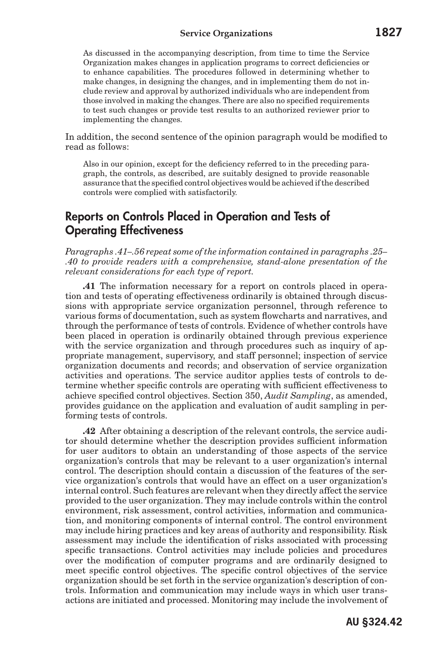As discussed in the accompanying description, from time to time the Service Organization makes changes in application programs to correct deficiencies or to enhance capabilities. The procedures followed in determining whether to make changes, in designing the changes, and in implementing them do not include review and approval by authorized individuals who are independent from those involved in making the changes. There are also no specified requirements to test such changes or provide test results to an authorized reviewer prior to implementing the changes.

In addition, the second sentence of the opinion paragraph would be modified to read as follows:

Also in our opinion, except for the deficiency referred to in the preceding paragraph, the controls, as described, are suitably designed to provide reasonable assurance that the specified control objectives would be achieved if the described controls were complied with satisfactorily.

## Reports on Controls Placed in Operation and Tests of Operating Effectiveness

*Paragraphs .41–.56 repeat some of the information contained in paragraphs .25– .40 to provide readers with a comprehensive, stand-alone presentation of the relevant considerations for each type of report.*

**.41** The information necessary for a report on controls placed in operation and tests of operating effectiveness ordinarily is obtained through discussions with appropriate service organization personnel, through reference to various forms of documentation, such as system flowcharts and narratives, and through the performance of tests of controls. Evidence of whether controls have been placed in operation is ordinarily obtained through previous experience with the service organization and through procedures such as inquiry of appropriate management, supervisory, and staff personnel; inspection of service organization documents and records; and observation of service organization activities and operations. The service auditor applies tests of controls to determine whether specific controls are operating with sufficient effectiveness to achieve specified control objectives. Section 350, *Audit Sampling*, as amended, provides guidance on the application and evaluation of audit sampling in performing tests of controls.

**.42** After obtaining a description of the relevant controls, the service auditor should determine whether the description provides sufficient information for user auditors to obtain an understanding of those aspects of the service organization's controls that may be relevant to a user organization's internal control. The description should contain a discussion of the features of the service organization's controls that would have an effect on a user organization's internal control. Such features are relevant when they directly affect the service provided to the user organization. They may include controls within the control environment, risk assessment, control activities, information and communication, and monitoring components of internal control. The control environment may include hiring practices and key areas of authority and responsibility. Risk assessment may include the identification of risks associated with processing specific transactions. Control activities may include policies and procedures over the modification of computer programs and are ordinarily designed to meet specific control objectives. The specific control objectives of the service organization should be set forth in the service organization's description of controls. Information and communication may include ways in which user transactions are initiated and processed. Monitoring may include the involvement of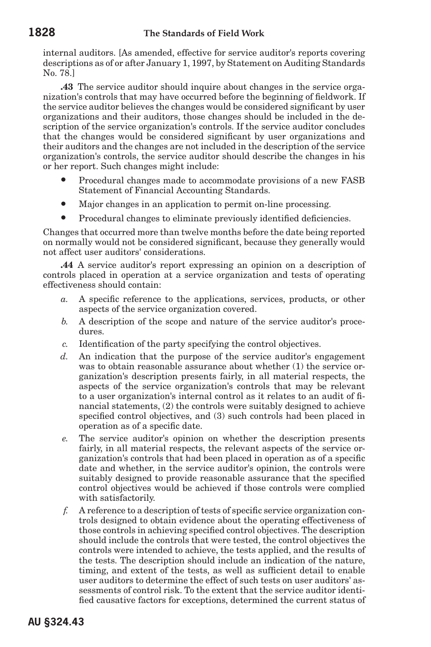internal auditors. [As amended, effective for service auditor's reports covering descriptions as of or after January 1, 1997, by Statement on Auditing Standards No. 78.]

**.43** The service auditor should inquire about changes in the service organization's controls that may have occurred before the beginning of fieldwork. If the service auditor believes the changes would be considered significant by user organizations and their auditors, those changes should be included in the description of the service organization's controls. If the service auditor concludes that the changes would be considered significant by user organizations and their auditors and the changes are not included in the description of the service organization's controls, the service auditor should describe the changes in his or her report. Such changes might include:

- Procedural changes made to accommodate provisions of a new FASB Statement of Financial Accounting Standards.
- Major changes in an application to permit on-line processing.
- Procedural changes to eliminate previously identified deficiencies.

Changes that occurred more than twelve months before the date being reported on normally would not be considered significant, because they generally would not affect user auditors' considerations.

**.44** A service auditor's report expressing an opinion on a description of controls placed in operation at a service organization and tests of operating effectiveness should contain:

- *a.* A specific reference to the applications, services, products, or other aspects of the service organization covered.
- *b.* A description of the scope and nature of the service auditor's procedures.
- *c.* Identification of the party specifying the control objectives.
- *d.* An indication that the purpose of the service auditor's engagement was to obtain reasonable assurance about whether (1) the service organization's description presents fairly, in all material respects, the aspects of the service organization's controls that may be relevant to a user organization's internal control as it relates to an audit of financial statements, (2) the controls were suitably designed to achieve specified control objectives, and (3) such controls had been placed in operation as of a specific date.
- *e.* The service auditor's opinion on whether the description presents fairly, in all material respects, the relevant aspects of the service organization's controls that had been placed in operation as of a specific date and whether, in the service auditor's opinion, the controls were suitably designed to provide reasonable assurance that the specified control objectives would be achieved if those controls were complied with satisfactorily.
- *f.* A reference to a description of tests of specific service organization controls designed to obtain evidence about the operating effectiveness of those controls in achieving specified control objectives. The description should include the controls that were tested, the control objectives the controls were intended to achieve, the tests applied, and the results of the tests. The description should include an indication of the nature, timing, and extent of the tests, as well as sufficient detail to enable user auditors to determine the effect of such tests on user auditors' assessments of control risk. To the extent that the service auditor identified causative factors for exceptions, determined the current status of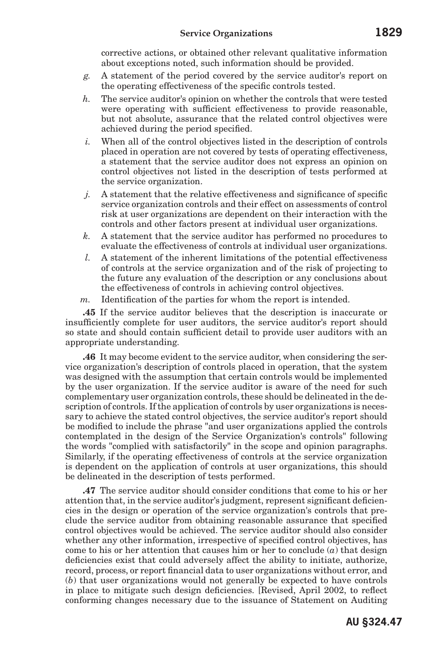corrective actions, or obtained other relevant qualitative information about exceptions noted, such information should be provided.

- *g.* A statement of the period covered by the service auditor's report on the operating effectiveness of the specific controls tested.
- *h.* The service auditor's opinion on whether the controls that were tested were operating with sufficient effectiveness to provide reasonable, but not absolute, assurance that the related control objectives were achieved during the period specified.
- *i.* When all of the control objectives listed in the description of controls placed in operation are not covered by tests of operating effectiveness, a statement that the service auditor does not express an opinion on control objectives not listed in the description of tests performed at the service organization.
- *j.* A statement that the relative effectiveness and significance of specific service organization controls and their effect on assessments of control risk at user organizations are dependent on their interaction with the controls and other factors present at individual user organizations.
- *k.* A statement that the service auditor has performed no procedures to evaluate the effectiveness of controls at individual user organizations.
- *l.* A statement of the inherent limitations of the potential effectiveness of controls at the service organization and of the risk of projecting to the future any evaluation of the description or any conclusions about the effectiveness of controls in achieving control objectives.
- *m.* Identification of the parties for whom the report is intended.

**.45** If the service auditor believes that the description is inaccurate or insufficiently complete for user auditors, the service auditor's report should so state and should contain sufficient detail to provide user auditors with an appropriate understanding.

**.46** It may become evident to the service auditor, when considering the service organization's description of controls placed in operation, that the system was designed with the assumption that certain controls would be implemented by the user organization. If the service auditor is aware of the need for such complementary user organization controls, these should be delineated in the description of controls. If the application of controls by user organizations is necessary to achieve the stated control objectives, the service auditor's report should be modified to include the phrase "and user organizations applied the controls contemplated in the design of the Service Organization's controls" following the words "complied with satisfactorily" in the scope and opinion paragraphs. Similarly, if the operating effectiveness of controls at the service organization is dependent on the application of controls at user organizations, this should be delineated in the description of tests performed.

**.47** The service auditor should consider conditions that come to his or her attention that, in the service auditor's judgment, represent significant deficiencies in the design or operation of the service organization's controls that preclude the service auditor from obtaining reasonable assurance that specified control objectives would be achieved. The service auditor should also consider whether any other information, irrespective of specified control objectives, has come to his or her attention that causes him or her to conclude (*a*) that design deficiencies exist that could adversely affect the ability to initiate, authorize, record, process, or report financial data to user organizations without error, and (*b*) that user organizations would not generally be expected to have controls in place to mitigate such design deficiencies. [Revised, April 2002, to reflect conforming changes necessary due to the issuance of Statement on Auditing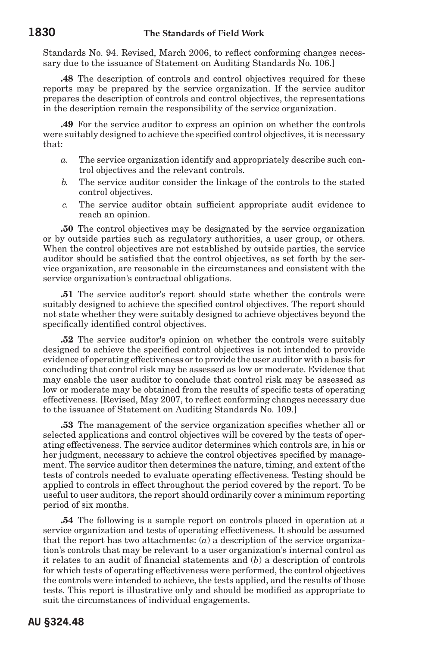Standards No. 94. Revised, March 2006, to reflect conforming changes necessary due to the issuance of Statement on Auditing Standards No. 106.]

**.48** The description of controls and control objectives required for these reports may be prepared by the service organization. If the service auditor prepares the description of controls and control objectives, the representations in the description remain the responsibility of the service organization.

**.49** For the service auditor to express an opinion on whether the controls were suitably designed to achieve the specified control objectives, it is necessary that:

- *a.* The service organization identify and appropriately describe such control objectives and the relevant controls.
- *b.* The service auditor consider the linkage of the controls to the stated control objectives.
- *c.* The service auditor obtain sufficient appropriate audit evidence to reach an opinion.

**.50** The control objectives may be designated by the service organization or by outside parties such as regulatory authorities, a user group, or others. When the control objectives are not established by outside parties, the service auditor should be satisfied that the control objectives, as set forth by the service organization, are reasonable in the circumstances and consistent with the service organization's contractual obligations.

**.51** The service auditor's report should state whether the controls were suitably designed to achieve the specified control objectives. The report should not state whether they were suitably designed to achieve objectives beyond the specifically identified control objectives.

**.52** The service auditor's opinion on whether the controls were suitably designed to achieve the specified control objectives is not intended to provide evidence of operating effectiveness or to provide the user auditor with a basis for concluding that control risk may be assessed as low or moderate. Evidence that may enable the user auditor to conclude that control risk may be assessed as low or moderate may be obtained from the results of specific tests of operating effectiveness. [Revised, May 2007, to reflect conforming changes necessary due to the issuance of Statement on Auditing Standards No. 109.]

**.53** The management of the service organization specifies whether all or selected applications and control objectives will be covered by the tests of operating effectiveness. The service auditor determines which controls are, in his or her judgment, necessary to achieve the control objectives specified by management. The service auditor then determines the nature, timing, and extent of the tests of controls needed to evaluate operating effectiveness. Testing should be applied to controls in effect throughout the period covered by the report. To be useful to user auditors, the report should ordinarily cover a minimum reporting period of six months.

**.54** The following is a sample report on controls placed in operation at a service organization and tests of operating effectiveness. It should be assumed that the report has two attachments:  $(a)$  a description of the service organization's controls that may be relevant to a user organization's internal control as it relates to an audit of financial statements and (*b*) a description of controls for which tests of operating effectiveness were performed, the control objectives the controls were intended to achieve, the tests applied, and the results of those tests. This report is illustrative only and should be modified as appropriate to suit the circumstances of individual engagements.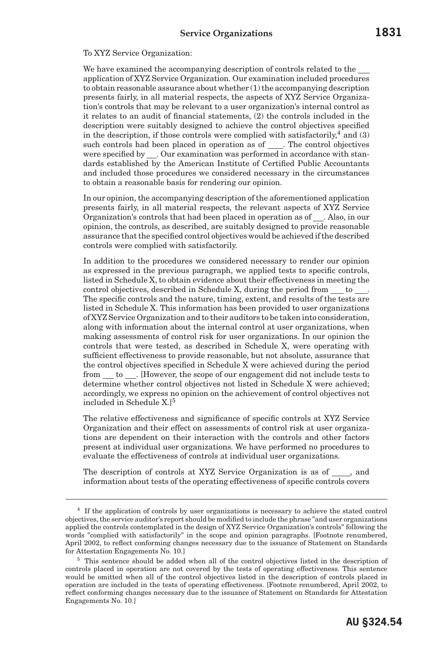#### To XYZ Service Organization:

We have examined the accompanying description of controls related to the application of XYZ Service Organization. Our examination included procedures to obtain reasonable assurance about whether  $(1)$  the accompanying description presents fairly, in all material respects, the aspects of XYZ Service Organization's controls that may be relevant to a user organization's internal control as it relates to an audit of financial statements, (2) the controls included in the description were suitably designed to achieve the control objectives specified in the description, if those controls were complied with satisfactorily,  $4$  and (3) such controls had been placed in operation as of . The control objectives were specified by . Our examination was performed in accordance with standards established by the American Institute of Certified Public Accountants and included those procedures we considered necessary in the circumstances to obtain a reasonable basis for rendering our opinion.

In our opinion, the accompanying description of the aforementioned application presents fairly, in all material respects, the relevant aspects of XYZ Service Organization's controls that had been placed in operation as of . Also, in our opinion, the controls, as described, are suitably designed to provide reasonable assurance that the specified control objectives would be achieved if the described controls were complied with satisfactorily.

In addition to the procedures we considered necessary to render our opinion as expressed in the previous paragraph, we applied tests to specific controls, listed in Schedule X, to obtain evidence about their effectiveness in meeting the control objectives, described in Schedule X, during the period from to. The specific controls and the nature, timing, extent, and results of the tests are listed in Schedule X. This information has been provided to user organizations of XYZ Service Organization and to their auditors to be taken into consideration, along with information about the internal control at user organizations, when making assessments of control risk for user organizations. In our opinion the controls that were tested, as described in Schedule X, were operating with sufficient effectiveness to provide reasonable, but not absolute, assurance that the control objectives specified in Schedule X were achieved during the period from to . [However, the scope of our engagement did not include tests to determine whether control objectives not listed in Schedule X were achieved; accordingly, we express no opinion on the achievement of control objectives not included in Schedule X.<sup>[5</sup>]

The relative effectiveness and significance of specific controls at XYZ Service Organization and their effect on assessments of control risk at user organizations are dependent on their interaction with the controls and other factors present at individual user organizations. We have performed no procedures to evaluate the effectiveness of controls at individual user organizations.

The description of controls at XYZ Service Organization is as of , and information about tests of the operating effectiveness of specific controls covers

<sup>4</sup> If the application of controls by user organizations is necessary to achieve the stated control objectives, the service auditor's report should be modified to include the phrase "and user organizations applied the controls contemplated in the design of XYZ Service Organization's controls" following the words "complied with satisfactorily" in the scope and opinion paragraphs. [Footnote renumbered, April 2002, to reflect conforming changes necessary due to the issuance of Statement on Standards for Attestation Engagements No. 10.]

<sup>5</sup> This sentence should be added when all of the control objectives listed in the description of controls placed in operation are not covered by the tests of operating effectiveness. This sentence would be omitted when all of the control objectives listed in the description of controls placed in operation are included in the tests of operating effectiveness. [Footnote renumbered, April 2002, to reflect conforming changes necessary due to the issuance of Statement on Standards for Attestation Engagements No. 10.]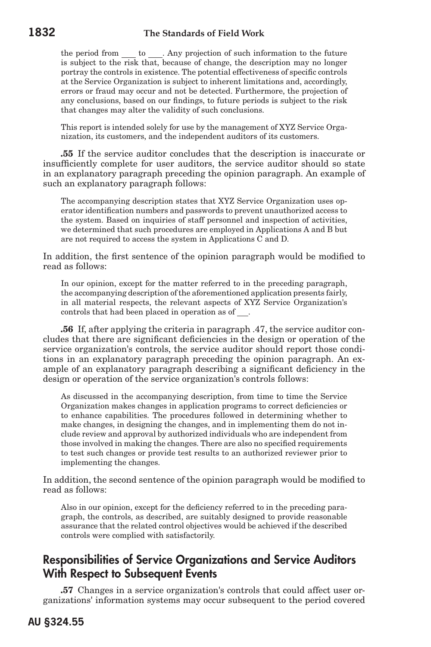the period from to . Any projection of such information to the future is subject to the risk that, because of change, the description may no longer portray the controls in existence. The potential effectiveness of specific controls at the Service Organization is subject to inherent limitations and, accordingly, errors or fraud may occur and not be detected. Furthermore, the projection of any conclusions, based on our findings, to future periods is subject to the risk that changes may alter the validity of such conclusions.

This report is intended solely for use by the management of XYZ Service Organization, its customers, and the independent auditors of its customers.

**.55** If the service auditor concludes that the description is inaccurate or insufficiently complete for user auditors, the service auditor should so state in an explanatory paragraph preceding the opinion paragraph. An example of such an explanatory paragraph follows:

The accompanying description states that XYZ Service Organization uses operator identification numbers and passwords to prevent unauthorized access to the system. Based on inquiries of staff personnel and inspection of activities, we determined that such procedures are employed in Applications A and B but are not required to access the system in Applications C and D.

In addition, the first sentence of the opinion paragraph would be modified to read as follows:

In our opinion, except for the matter referred to in the preceding paragraph, the accompanying description of the aforementioned application presents fairly, in all material respects, the relevant aspects of XYZ Service Organization's controls that had been placed in operation as of \_\_\_.

**.56** If, after applying the criteria in paragraph .47, the service auditor concludes that there are significant deficiencies in the design or operation of the service organization's controls, the service auditor should report those conditions in an explanatory paragraph preceding the opinion paragraph. An example of an explanatory paragraph describing a significant deficiency in the design or operation of the service organization's controls follows:

As discussed in the accompanying description, from time to time the Service Organization makes changes in application programs to correct deficiencies or to enhance capabilities. The procedures followed in determining whether to make changes, in designing the changes, and in implementing them do not include review and approval by authorized individuals who are independent from those involved in making the changes. There are also no specified requirements to test such changes or provide test results to an authorized reviewer prior to implementing the changes.

In addition, the second sentence of the opinion paragraph would be modified to read as follows:

Also in our opinion, except for the deficiency referred to in the preceding paragraph, the controls, as described, are suitably designed to provide reasonable assurance that the related control objectives would be achieved if the described controls were complied with satisfactorily.

## Responsibilities of Service Organizations and Service Auditors With Respect to Subsequent Events

**.57** Changes in a service organization's controls that could affect user organizations' information systems may occur subsequent to the period covered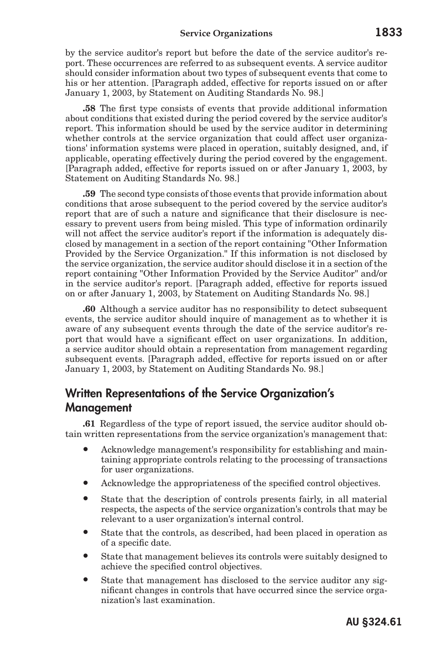#### **Service Organizations 1833**

by the service auditor's report but before the date of the service auditor's report. These occurrences are referred to as subsequent events. A service auditor should consider information about two types of subsequent events that come to his or her attention. [Paragraph added, effective for reports issued on or after January 1, 2003, by Statement on Auditing Standards No. 98.]

**.58** The first type consists of events that provide additional information about conditions that existed during the period covered by the service auditor's report. This information should be used by the service auditor in determining whether controls at the service organization that could affect user organizations' information systems were placed in operation, suitably designed, and, if applicable, operating effectively during the period covered by the engagement. [Paragraph added, effective for reports issued on or after January 1, 2003, by Statement on Auditing Standards No. 98.]

**.59** The second type consists of those events that provide information about conditions that arose subsequent to the period covered by the service auditor's report that are of such a nature and significance that their disclosure is necessary to prevent users from being misled. This type of information ordinarily will not affect the service auditor's report if the information is adequately disclosed by management in a section of the report containing "Other Information Provided by the Service Organization." If this information is not disclosed by the service organization, the service auditor should disclose it in a section of the report containing "Other Information Provided by the Service Auditor" and/or in the service auditor's report. [Paragraph added, effective for reports issued on or after January 1, 2003, by Statement on Auditing Standards No. 98.]

**.60** Although a service auditor has no responsibility to detect subsequent events, the service auditor should inquire of management as to whether it is aware of any subsequent events through the date of the service auditor's report that would have a significant effect on user organizations. In addition, a service auditor should obtain a representation from management regarding subsequent events. [Paragraph added, effective for reports issued on or after January 1, 2003, by Statement on Auditing Standards No. 98.]

## Written Representations of the Service Organization's Management

**.61** Regardless of the type of report issued, the service auditor should obtain written representations from the service organization's management that:

- Acknowledge management's responsibility for establishing and maintaining appropriate controls relating to the processing of transactions for user organizations.
- Acknowledge the appropriateness of the specified control objectives.
- State that the description of controls presents fairly, in all material respects, the aspects of the service organization's controls that may be relevant to a user organization's internal control.
- State that the controls, as described, had been placed in operation as of a specific date.
- State that management believes its controls were suitably designed to achieve the specified control objectives.
- State that management has disclosed to the service auditor any significant changes in controls that have occurred since the service organization's last examination.